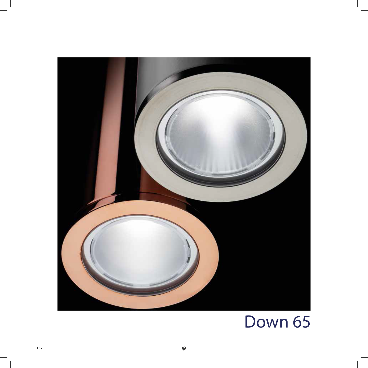

## Down 65